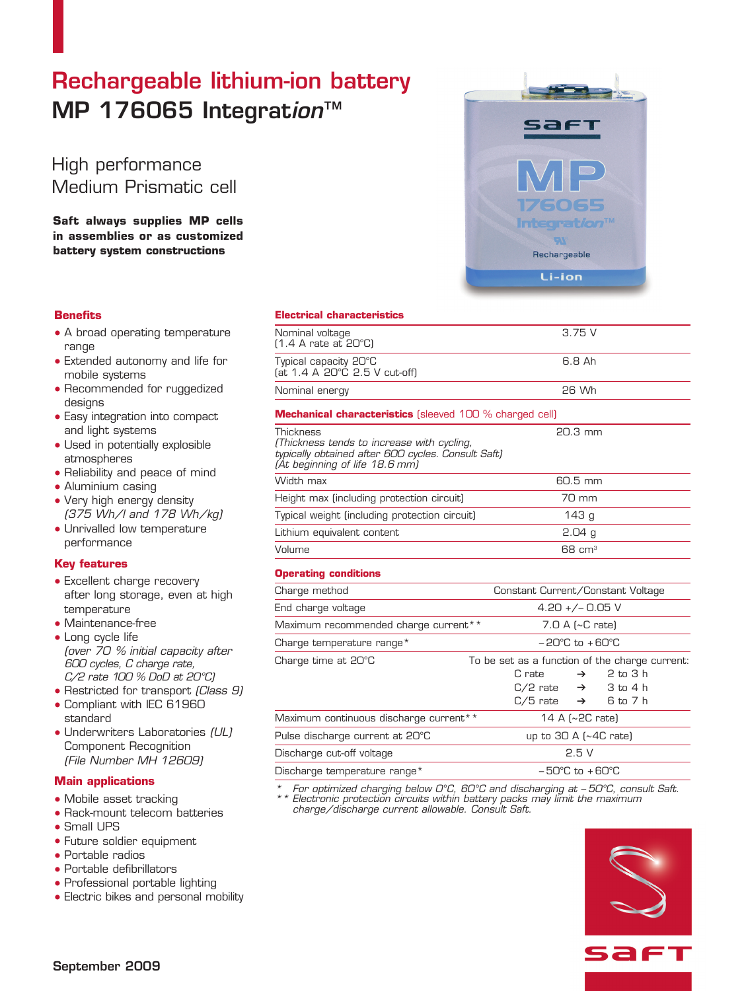# Rechargeable lithium-ion battery MP 176065 Integration™

High performance Medium Prismatic cell

**Saft always supplies MP cells in assemblies or as customized battery system constructions**

## **Benefits**

- A broad operating temperature range
- Extended autonomy and life for mobile systems
- Recommended for ruggedized desians
- Easy integration into compact and light systems
- Used in potentially explosible atmospheres
- Reliability and peace of mind
- Aluminium casing
- Very high energy density (375 Wh/l and 178 Wh/kg)
- Unrivalled low temperature performance

## **Key features**

- Excellent charge recovery after long storage, even at high temperature
- Maintenance-free
- Long cycle life (over 70 % initial capacity after 600 cycles, C charge rate, C/2 rate 100 % DoD at 20°C)
- Restricted for transport (Class 9)
- Compliant with IEC 61960 standard
- Underwriters Laboratories (UL) Component Recognition (File Number MH 12609)

## **Main applications**

- Mobile asset tracking
- Rack-mount telecom batteries
- Small UPS
- Future soldier equipment
- Portable radios
- Portable defibrillators
- Professional portable lighting
- Electric bikes and personal mobility



## **Electrical characteristics**

| Nominal voltage<br>(1.4 A rate at 20°C)                                                                                                                | 3.75V                                          |
|--------------------------------------------------------------------------------------------------------------------------------------------------------|------------------------------------------------|
| Typical capacity 20°C<br>(at 1.4 A 20°C 2.5 V cut-off)                                                                                                 | 6.8 Ah                                         |
| Nominal energy                                                                                                                                         | 26 Wh                                          |
| <b>Mechanical characteristics</b> (sleeved 100 % charged cell)                                                                                         |                                                |
| <b>Thickness</b><br>(Thickness tends to increase with cycling,<br>typically obtained after 600 cycles. Consult Saft)<br>(At beginning of life 18.6 mm) | 20.3 mm                                        |
| Width max                                                                                                                                              | 60.5 mm                                        |
| Height max (including protection circuit)                                                                                                              | 70 mm                                          |
| Typical weight (including protection circuit)                                                                                                          | 143 <sub>g</sub>                               |
| Lithium equivalent content                                                                                                                             | 2.04 <sub>g</sub>                              |
| Volume                                                                                                                                                 | $68 \text{ cm}^3$                              |
| <b>Operating conditions</b>                                                                                                                            |                                                |
| Charge method                                                                                                                                          | Constant Current/Constant Voltage              |
| End charge voltage                                                                                                                                     | $4.20 +/- 0.05$ V                              |
| Maximum recommended charge current**                                                                                                                   | 7.0 A (~C rate)                                |
| Charge temperature range*                                                                                                                              | $-20^{\circ}$ C to $+60^{\circ}$ C             |
| Charge time at 20°C                                                                                                                                    | To be set as a function of the charge current: |

| Charge time at 20°C                    | To be set as a function of the charge current: |
|----------------------------------------|------------------------------------------------|
|                                        | $2$ to $3$ h<br>C rate $\rightarrow$           |
|                                        | $C/2$ rate $\rightarrow$ 3 to 4 h              |
|                                        | $C/5$ rate $\rightarrow$ 6 to 7 h              |
| Maximum continuous discharge current** | 14 A $\left[\sim 2C$ rate)                     |
| Pulse discharge current at 20°C        | up to $30$ A ( $\sim$ 4C rate)                 |
| Discharge cut-off voltage              | 2.5V                                           |
| Discharge temperature range*           | $-50^{\circ}$ C to $+60^{\circ}$ C             |

For optimized charging below  $O^{\circ}C$ , 60 $^{\circ}C$  and discharging at  $-50^{\circ}C$ , consult Saft. Electronic protection circuits within battery packs may limit the maximum charge/discharge current allowable. Consult Saft.